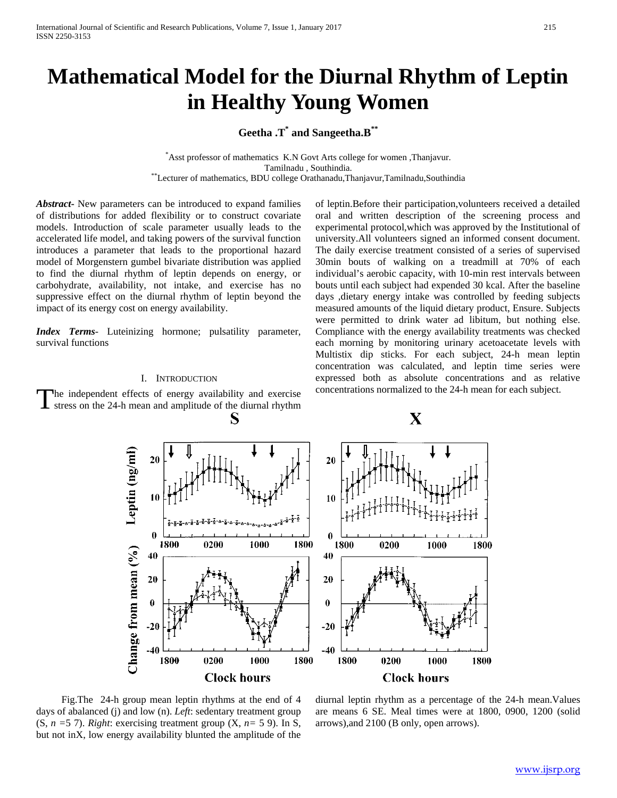# **Mathematical Model for the Diurnal Rhythm of Leptin in Healthy Young Women**

**Geetha .T\* and Sangeetha.B\*\***

\* Asst professor of mathematics K.N Govt Arts college for women ,Thanjavur. Tamilnadu , Southindia.<br>Exturer of mathematics, BDU college Orathanadu,Thanjavur,Tamilnadu,Southindia<sup>\*\*</sup>

*Abstract***-** New parameters can be introduced to expand families of distributions for added flexibility or to construct covariate models. Introduction of scale parameter usually leads to the accelerated life model, and taking powers of the survival function introduces a parameter that leads to the proportional hazard model of Morgenstern gumbel bivariate distribution was applied to find the diurnal rhythm of leptin depends on energy, or carbohydrate, availability, not intake, and exercise has no suppressive effect on the diurnal rhythm of leptin beyond the impact of its energy cost on energy availability.

*Index Terms*- Luteinizing hormone; pulsatility parameter, survival functions

## I. INTRODUCTION

he independent effects of energy availability and exercise stress on the 24-h mean and amplitude of the diurnal rhythm T

of leptin.Before their participation,volunteers received a detailed oral and written description of the screening process and experimental protocol,which was approved by the Institutional of university.All volunteers signed an informed consent document. The daily exercise treatment consisted of a series of supervised 30min bouts of walking on a treadmill at 70% of each individual's aerobic capacity, with 10-min rest intervals between bouts until each subject had expended 30 kcal. After the baseline days ,dietary energy intake was controlled by feeding subjects measured amounts of the liquid dietary product, Ensure. Subjects were permitted to drink water ad libitum, but nothing else. Compliance with the energy availability treatments was checked each morning by monitoring urinary acetoacetate levels with Multistix dip sticks. For each subject, 24-h mean leptin concentration was calculated, and leptin time series were expressed both as absolute concentrations and as relative concentrations normalized to the 24-h mean for each subject.



 Fig.The 24-h group mean leptin rhythms at the end of 4 days of abalanced (j) and low (n). *Left*: sedentary treatment group (S, *n =*5 7). *Right*: exercising treatment group (X, *n=* 5 9). In S, but not inX, low energy availability blunted the amplitude of the

diurnal leptin rhythm as a percentage of the 24-h mean.Values are means 6 SE. Meal times were at 1800, 0900, 1200 (solid arrows),and 2100 (B only, open arrows).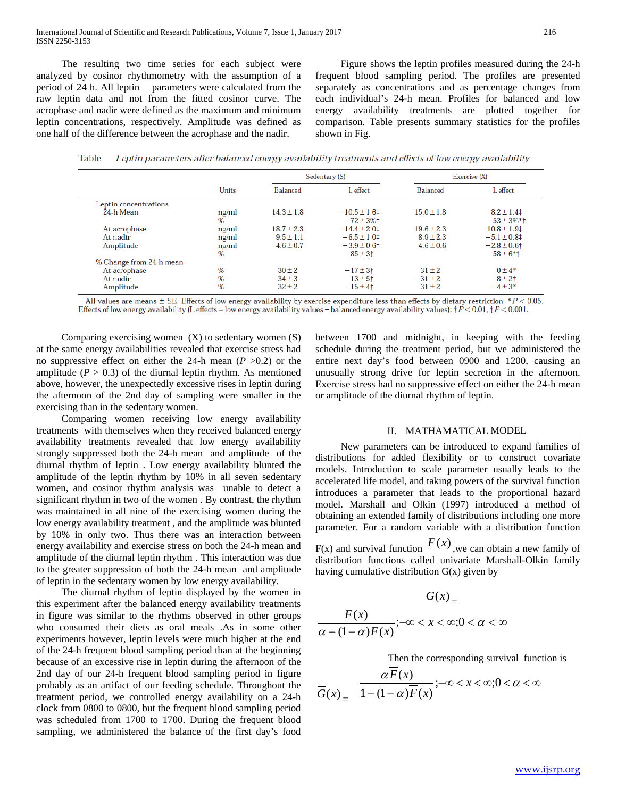The resulting two time series for each subject were analyzed by cosinor rhythmometry with the assumption of a period of 24 h. All leptin parameters were calculated from the raw leptin data and not from the fitted cosinor curve. The acrophase and nadir were defined as the maximum and minimum leptin concentrations, respectively. Amplitude was defined as one half of the difference between the acrophase and the nadir.

 Figure shows the leptin profiles measured during the 24-h frequent blood sampling period. The profiles are presented separately as concentrations and as percentage changes from each individual's 24-h mean. Profiles for balanced and low energy availability treatments are plotted together for comparison. Table presents summary statistics for the profiles shown in Fig.

|                                       |                         | Sedentary (S)                                    |                                                       | Exercise $(X)$                                   |                                                           |
|---------------------------------------|-------------------------|--------------------------------------------------|-------------------------------------------------------|--------------------------------------------------|-----------------------------------------------------------|
|                                       | Units                   | <b>Balanced</b>                                  | L effect                                              | <b>Balanced</b>                                  | L effect                                                  |
| Leptin concentrations                 |                         |                                                  |                                                       |                                                  |                                                           |
| 24-h Mean                             | ng/ml<br>$\%$           | $14.3 \pm 1.8$                                   | $-10.5 \pm 1.6$ ‡<br>$-72 \pm 3\%$ ‡                  | $15.0 \pm 1.8$                                   | $-8.2 \pm 1.4$<br>$-53 \pm 3\%$ *‡                        |
| At acrophase<br>At nadir<br>Amplitude | ng/ml<br>ng/ml<br>ng/ml | $18.7 \pm 2.3$<br>$9.5 \pm 1.1$<br>$4.6 \pm 0.7$ | $-14.4 \pm 2.0$<br>$-6.5 \pm 1.0$<br>$-3.9 \pm 0.6$ ‡ | $19.6 \pm 2.3$<br>$8.9 \pm 2.3$<br>$4.6 \pm 0.6$ | $-10.8 \pm 1.9$ ‡<br>$-5.1 \pm 0.8$ ‡<br>$-2.8 \pm 0.6$ † |
| % Change from 24-h mean               | $\%$                    |                                                  | $-85 \pm 31$                                          |                                                  | $-58 \pm 6*$                                              |
| At acrophase<br>At nadir<br>Amplitude | %<br>%<br>$\%$          | $30 + 2$<br>$-34 \pm 3$<br>$32 + 2$              | $-17 \pm 3$ t<br>$13 + 5$<br>$-15 \pm 4$ †            | $31 + 2$<br>$-31 \pm 2$<br>$31 \pm 2$            | $0 + 4*$<br>$8 + 21$<br>$-4 \pm 3*$                       |

Table Leptin parameters after balanced energy availability treatments and effects of low energy availability

All values are means  $\pm$  SE. Effects of low energy availability by exercise expenditure less than effects by dietary restriction: \*  $P$  < 0.05. Effects of low energy availability (L effects = low energy availability values - balanced energy availability values):  $\uparrow P < 0.01$ ,  $\uparrow P < 0.001$ .

Comparing exercising women  $(X)$  to sedentary women  $(S)$ at the same energy availabilities revealed that exercise stress had no suppressive effect on either the 24-h mean (*P* >0.2) or the amplitude  $(P > 0.3)$  of the diurnal leptin rhythm. As mentioned above, however, the unexpectedly excessive rises in leptin during the afternoon of the 2nd day of sampling were smaller in the exercising than in the sedentary women.

 Comparing women receiving low energy availability treatments with themselves when they received balanced energy availability treatments revealed that low energy availability strongly suppressed both the 24-h mean and amplitude of the diurnal rhythm of leptin . Low energy availability blunted the amplitude of the leptin rhythm by 10% in all seven sedentary women, and cosinor rhythm analysis was unable to detect a significant rhythm in two of the women . By contrast, the rhythm was maintained in all nine of the exercising women during the low energy availability treatment , and the amplitude was blunted by 10% in only two. Thus there was an interaction between energy availability and exercise stress on both the 24-h mean and amplitude of the diurnal leptin rhythm . This interaction was due to the greater suppression of both the 24-h mean and amplitude of leptin in the sedentary women by low energy availability.

 The diurnal rhythm of leptin displayed by the women in this experiment after the balanced energy availability treatments in figure was similar to the rhythms observed in other groups who consumed their diets as oral meals .As in some other experiments however, leptin levels were much higher at the end of the 24-h frequent blood sampling period than at the beginning because of an excessive rise in leptin during the afternoon of the 2nd day of our 24-h frequent blood sampling period in figure probably as an artifact of our feeding schedule. Throughout the treatment period, we controlled energy availability on a 24-h clock from 0800 to 0800, but the frequent blood sampling period was scheduled from 1700 to 1700. During the frequent blood sampling, we administered the balance of the first day's food between 1700 and midnight, in keeping with the feeding schedule during the treatment period, but we administered the entire next day's food between 0900 and 1200, causing an unusually strong drive for leptin secretion in the afternoon. Exercise stress had no suppressive effect on either the 24-h mean or amplitude of the diurnal rhythm of leptin.

#### II. MATHAMATICAL MODEL

 New parameters can be introduced to expand families of distributions for added flexibility or to construct covariate models. Introduction to scale parameter usually leads to the accelerated life model, and taking powers of the survival function introduces a parameter that leads to the proportional hazard model. Marshall and Olkin (1997) introduced a method of obtaining an extended family of distributions including one more parameter. For a random variable with a distribution function

 $F(x)$  and survival function  $F(x)$ , we can obtain a new family of distribution functions called univariate Marshall-Olkin family having cumulative distribution  $G(x)$  given by

$$
G(x) =
$$
  

$$
\frac{F(x)}{\alpha + (1 - \alpha)F(x)}; -\infty < x < \infty; 0 < \alpha < \infty
$$

Then the corresponding survival function is

$$
\overline{G}(x) = \frac{\alpha F(x)}{1 - (1 - \alpha)\overline{F}(x)}; -\infty < x < \infty; 0 < \alpha < \infty
$$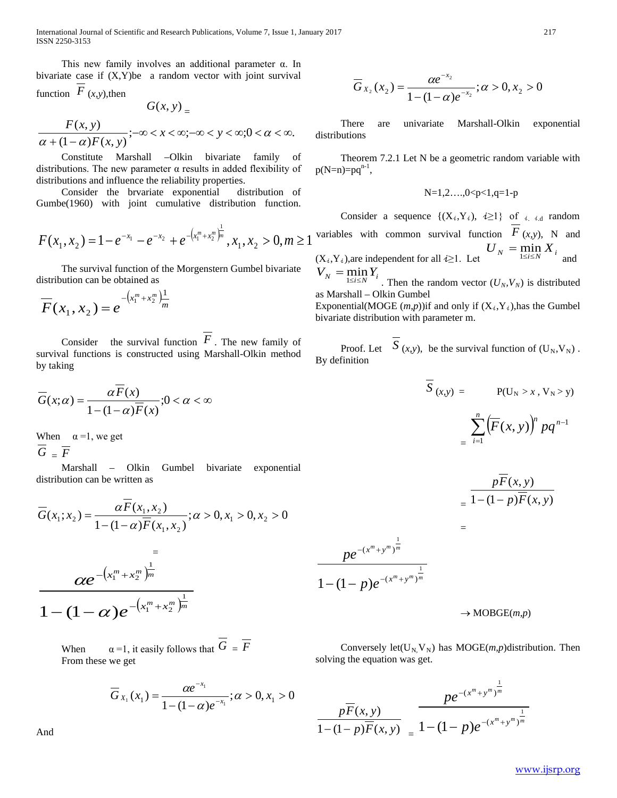International Journal of Scientific and Research Publications, Volume 7, Issue 1, January 2017 217 ISSN 2250-3153

 This new family involves an additional parameter α. In bivariate case if (X,Y)be a random vector with joint survival function  $F(x, y)$ , then

$$
G(x,y)_{=}
$$

 $\frac{F(x, y)}{(1 - \alpha)F(x, y)}$ ;- $\infty < x < \infty$ ;- $\infty < y < \infty$ ;0 <  $\alpha < \infty$ .  $F(x, y)$ <br>  $\alpha + (1 - \alpha)F(x, y)$ ;  $-\infty < x < \infty$ ;  $-\infty < y < \infty$ ;  $0 < \alpha$ 

 Constitute Marshall –Olkin bivariate family of distributions. The new parameter  $\alpha$  results in added flexibility of distributions and influence the reliability properties.

 Consider the brvariate exponential distribution of Gumbe(1960) with joint cumulative distribution function.

$$
F(x_1, x_2) = 1 - e^{-x_1} - e^{-x_2} + e^{-(x_1^m + x_2^m)^{\frac{1}{m}}}, x_1, x_2 > 0, m \ge 1
$$

 The survival function of the Morgenstern Gumbel bivariate distribution can be obtained as

 $F(x_1, x_2) = e^{-\left(x_1^m + x_2^m\right)\frac{1}{m}}$ 1  $_1$ ,  $\lambda_2$  $(x_1, x_2) = e^{-\left(x_1^m + x_2^m\right)}$ 

Consider the survival function  $F$ . The new family of survival functions is constructed using Marshall-Olkin method by taking

$$
\overline{G}(x;\alpha) = \frac{\alpha \overline{F}(x)}{1 - (1 - \alpha)\overline{F}(x)}; 0 < \alpha < \infty
$$

When  $\alpha = 1$ , we get  $\overline{G}$  =  $\overline{F}$ 

 Marshall – Olkin Gumbel bivariate exponential distribution can be written as

$$
\overline{G}(x_1; x_2) = \frac{\alpha \overline{F}(x_1, x_2)}{1 - (1 - \alpha) \overline{F}(x_1, x_2)}; \alpha > 0, x_1 > 0, x_2 > 0
$$

$$
=\frac{ce^{-(x_1^m+x_2^m)^{\frac{1}{m}}}}{1-(1-\alpha)e^{-(x_1^m+x_2^m)^{\frac{1}{m}}}}
$$

When  $\alpha = 1$ , it easily follows that  $\overline{G} = \overline{F}$ From these we get

$$
\overline{G}_{x_1}(x_1) = \frac{\alpha e^{-x_1}}{1 - (1 - \alpha)e^{-x_1}}; \alpha > 0, x_1 > 0
$$

And

$$
\overline{G}_{X_2}(x_2) = \frac{\alpha e^{-x_2}}{1 - (1 - \alpha)e^{-x_2}}; \alpha > 0, x_2 > 0
$$

 There are univariate Marshall-Olkin exponential distributions

 Theorem 7.2.1 Let N be a geometric random variable with  $p(N=n)=pq^{n-1}$ ,

$$
N=1,2...,0
$$

Consider a sequence  $\{(X_i, Y_i), i \geq 1\}$  of  $i_i$  and random variables with common survival function  $F(x, y)$ , N and  $(U_N = \min_{1 \le i \le N} X_i$ <br>(X<sub>i</sub>,Y<sub>i</sub>), are independent for all  $i \ge 1$ . Let and  $V_N = \min_{1 \le i \le N} Y_i$ 

. Then the random vector  $(U_N, V_N)$  is distributed as Marshall – Olkin Gumbel

Exponential(MOGE  $(m, p)$ ) if and only if  $(X_i, Y_i)$ , has the Gumbel bivariate distribution with parameter m.

Proof. Let  $S(x, y)$ , be the survival function of  $(U_N, V_N)$ . By definition

$$
\overline{S}(x,y) = \mathbf{P}(U_N > x, V_N > y)
$$
\n
$$
= \sum_{i=1}^n \left( \overline{F}(x, y) \right)^n p q^{n-1}
$$

$$
= \frac{p\overline{F}(x, y)}{1 - (1 - p)\overline{F}(x, y)}
$$

 $m + v^m$  *m*  $m + v^m$  *m*  $x^m + y$  $x^m + y$ *p e pe* 1 1  $(x^m+y^m)$  $(x^m+y^m)$  $1 - (1 - p)e^{-(x^m + 1)}$  $-(x^m +$  $- (1 -$ 

 $\rightarrow$  MOBGE(*m*,*p*)

Conversely let( $U_N$ ,  $V_N$ ) has MOGE(*m,p*)distribution. Then solving the equation was get.

=

$$
\frac{p\overline{F}(x, y)}{1-(1-p)\overline{F}(x, y)} = \frac{pe^{-(x^m+y^m)^{\frac{1}{m}}}}{1-(1-p)e^{-(x^m+y^m)^{\frac{1}{m}}}}
$$

[www.ijsrp.org](http://ijsrp.org/)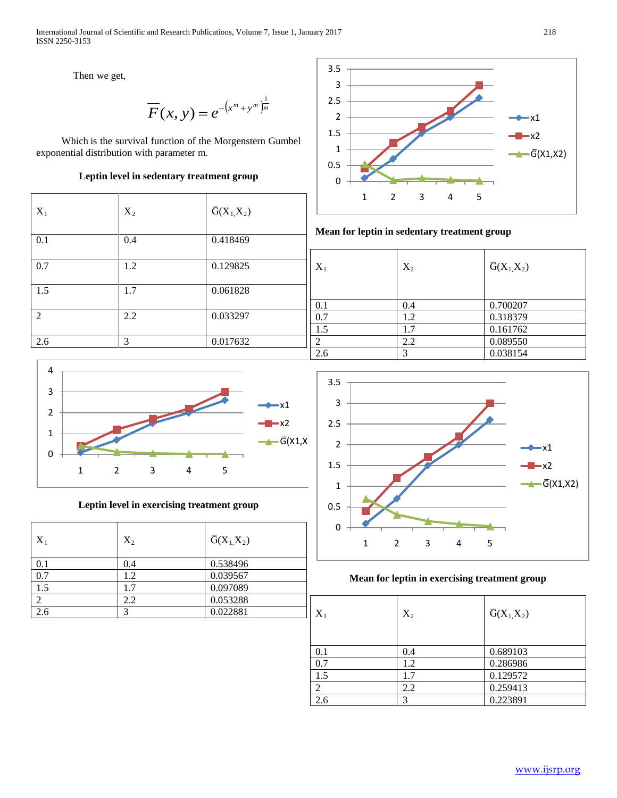Then we get,

$$
\overline{F}(x, y) = e^{-\left(x^m + y^m\right)^{\frac{1}{m}}}
$$

 Which is the survival function of the Morgenstern Gumbel exponential distribution with parameter m.

## **Leptin level in sedentary treatment group**

| $X_1$ | $X_2$ | $\overline{G}(X_1,X_2)$ |
|-------|-------|-------------------------|
| 0.1   | 0.4   | 0.418469                |
| 0.7   | 1.2   | 0.129825                |
| 1.5   | 1.7   | 0.061828                |
| 2     | 2.2   | 0.033297                |
| 2.6   | 3     | 0.017632                |



**Leptin level in exercising treatment group**

| $X_1$ | $X_2$ | $\overline{G}(X_1,X_2)$ |
|-------|-------|-------------------------|
| 0.1   | 0.4   | 0.538496                |
| 0.7   | 1.2   | 0.039567                |
| 1.5   | 1.7   | 0.097089                |
| ာ     | 2.2   | 0.053288                |
| 2.6   |       | 0.022881                |



**Mean for leptin in sedentary treatment group**

| $X_1$ | $X_2$ | $\overline{G}(X_1,X_2)$ |  |
|-------|-------|-------------------------|--|
|       |       |                         |  |
|       |       |                         |  |
| 0.1   | 0.4   | 0.700207                |  |
| 0.7   | 1.2   | 0.318379                |  |
| 1.5   | 1.7   | 0.161762                |  |
| ◠     | 2.2   | 0.089550                |  |
| 2.6   | っ     | 0.038154                |  |



# **Mean for leptin in exercising treatment group**

| $X_1$ | $X_2$ | $\overline{G}(X_1,X_2)$ |
|-------|-------|-------------------------|
| 0.1   | 0.4   | 0.689103                |
| 0.7   | 1.2   | 0.286986                |
| 1.5   | 1.7   | 0.129572                |
| 2     | 2.2   | 0.259413                |
| 2.6   | 2     | 0.223891                |